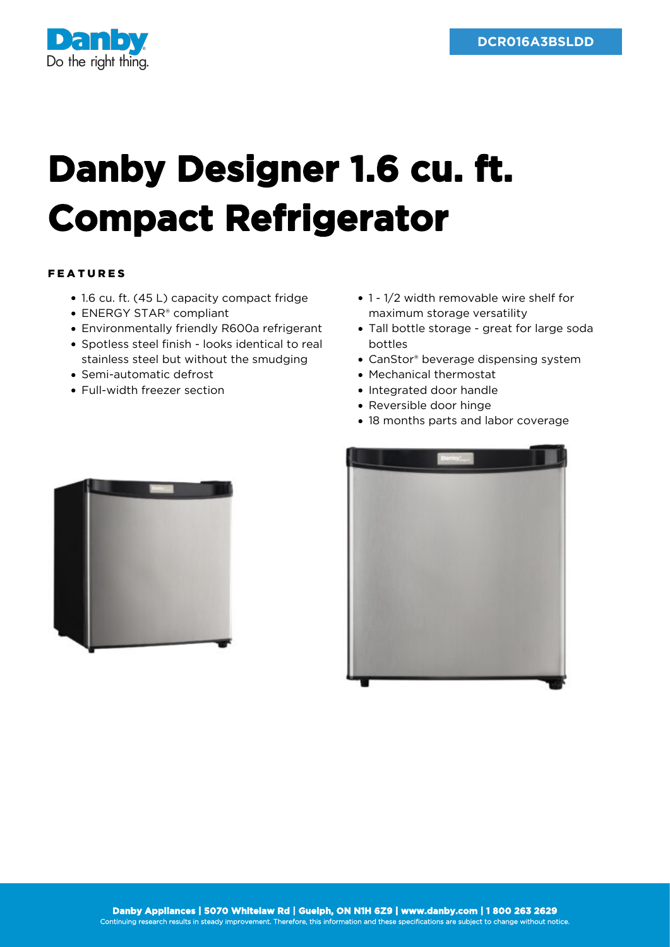

## **Danby Designer 1.6 cu. ft. Compact Refrigerator**

## FEATURES

- 1.6 cu. ft. (45 L) capacity compact fridge
- ENERGY STAR<sup>®</sup> compliant
- Environmentally friendly R600a refrigerant
- Spotless steel finish looks identical to real stainless steel but without the smudging
- Semi-automatic defrost
- Full-width freezer section
- 1 1/2 width removable wire shelf for maximum storage versatility
- Tall bottle storage great for large soda bottles
- CanStor® beverage dispensing system
- Mechanical thermostat
- Integrated door handle
- Reversible door hinge
- 18 months parts and labor coverage